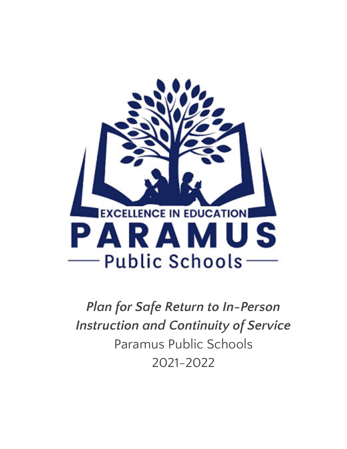

*Plan for Safe Return to In-Person Instruction and Continuity of Service* Paramus Public Schools 2021-2022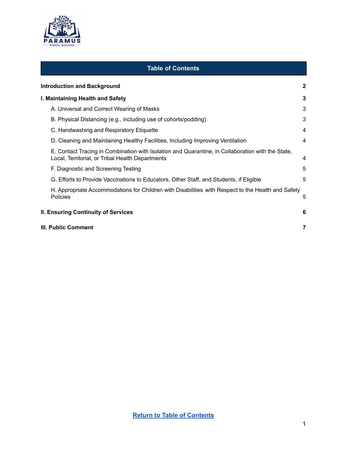

#### **Table of Contents**

<span id="page-1-0"></span>

|                                            | <b>Introduction and Background</b>                                                                                                                    | $\mathbf{2}$ |
|--------------------------------------------|-------------------------------------------------------------------------------------------------------------------------------------------------------|--------------|
|                                            | I. Maintaining Health and Safety                                                                                                                      | 3            |
|                                            | A. Universal and Correct Wearing of Masks                                                                                                             | 3            |
|                                            | B. Physical Distancing (e.g., including use of cohorts/podding)                                                                                       | 3            |
|                                            | C. Handwashing and Respiratory Etiquette                                                                                                              | 4            |
|                                            | D. Cleaning and Maintaining Healthy Facilities, Including Improving Ventilation                                                                       | 4            |
|                                            | E. Contact Tracing in Combination with Isolation and Quarantine, in Collaboration with the State,<br>Local, Territorial, or Tribal Health Departments | 4            |
|                                            | F. Diagnostic and Screening Testing                                                                                                                   | 5            |
|                                            | G. Efforts to Provide Vaccinations to Educators, Other Staff, and Students, if Eligible                                                               | 5            |
|                                            | H. Appropriate Accommodations for Children with Disabilities with Respect to the Health and Safety<br><b>Policies</b>                                 | 5            |
| <b>II. Ensuring Continuity of Services</b> |                                                                                                                                                       | 6            |
|                                            | III. Public Comment<br>7                                                                                                                              |              |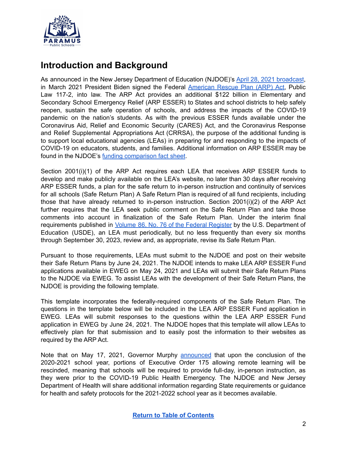

### <span id="page-2-0"></span>**Introduction and Background**

As announced in the New Jersey Department of Education (NJDOE)'s April 28, 2021 [broadcast](https://www.nj.gov/education/broadcasts/2021/april/AmericanRescuePlanESSERFunds.pdf), in March 2021 President Biden signed the Federal [American](https://www.congress.gov/117/bills/hr1319/BILLS-117hr1319enr.pdf) Rescue Plan (ARP) Act, Public Law 117-2, into law. The ARP Act provides an additional \$122 billion in Elementary and Secondary School Emergency Relief (ARP ESSER) to States and school districts to help safely reopen, sustain the safe operation of schools, and address the impacts of the COVID-19 pandemic on the nation's students. As with the previous ESSER funds available under the Coronavirus Aid, Relief and Economic Security (CARES) Act, and the Coronavirus Response and Relief Supplemental Appropriations Act (CRRSA), the purpose of the additional funding is to support local educational agencies (LEAs) in preparing for and responding to the impacts of COVID-19 on educators, students, and families. Additional information on ARP ESSER may be found in the NJDOE's funding [comparison](https://www.nj.gov/education/esser/docs/ESSERFactSheet.pdf) fact sheet.

Section 2001(i)(1) of the ARP Act requires each LEA that receives ARP ESSER funds to develop and make publicly available on the LEA's website, no later than 30 days after receiving ARP ESSER funds, a plan for the safe return to in-person instruction and continuity of services for all schools (Safe Return Plan) A Safe Return Plan is required of all fund recipients, including those that have already returned to in-person instruction. Section 2001(i)(2) of the ARP Act further requires that the LEA seek public comment on the Safe Return Plan and take those comments into account in finalization of the Safe Return Plan. Under the interim final requirements published in Volume 86, No. 76 of the Federal [Register](https://www.govinfo.gov/content/pkg/FR-2021-04-22/pdf/2021-08359.pdf) by the U.S. Department of Education (USDE), an LEA must periodically, but no less frequently than every six months through September 30, 2023, review and, as appropriate, revise its Safe Return Plan.

Pursuant to those requirements, LEAs must submit to the NJDOE and post on their website their Safe Return Plans by June 24, 2021. The NJDOE intends to make LEA ARP ESSER Fund applications available in EWEG on May 24, 2021 and LEAs will submit their Safe Return Plans to the NJDOE via EWEG. To assist LEAs with the development of their Safe Return Plans, the NJDOE is providing the following template.

This template incorporates the federally-required components of the Safe Return Plan. The questions in the template below will be included in the LEA ARP ESSER Fund application in EWEG. LEAs will submit responses to the questions within the LEA ARP ESSER Fund application in EWEG by June 24, 2021. The NJDOE hopes that this template will allow LEAs to effectively plan for that submission and to easily post the information to their websites as required by the ARP Act.

Note that on May 17, 2021, Governor Murphy [announced](https://nj.gov/governor/news/news/562021/approved/20210517a.shtml) that upon the conclusion of the 2020-2021 school year, portions of Executive Order 175 allowing remote learning will be rescinded, meaning that schools will be required to provide full-day, in-person instruction, as they were prior to the COVID-19 Public Health Emergency. The NJDOE and New Jersey Department of Health will share additional information regarding State requirements or guidance for health and safety protocols for the 2021-2022 school year as it becomes available.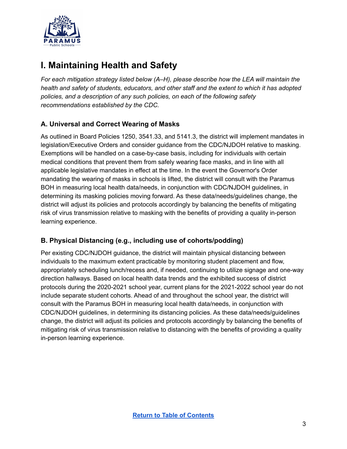

# <span id="page-3-0"></span>**I. Maintaining Health and Safety**

*For each mitigation strategy listed below (A–H), please describe how the LEA will maintain the health and safety of students, educators, and other staff and the extent to which it has adopted policies, and a description of any such policies, on each of the following safety recommendations established by the CDC.*

#### <span id="page-3-1"></span>**A. Universal and Correct Wearing of Masks**

As outlined in Board Policies 1250, 3541.33, and 5141.3, the district will implement mandates in legislation/Executive Orders and consider guidance from the CDC/NJDOH relative to masking. Exemptions will be handled on a case-by-case basis, including for individuals with certain medical conditions that prevent them from safely wearing face masks, and in line with all applicable legislative mandates in effect at the time. In the event the Governor's Order mandating the wearing of masks in schools is lifted, the district will consult with the Paramus BOH in measuring local health data/needs, in conjunction with CDC/NJDOH guidelines, in determining its masking policies moving forward. As these data/needs/guidelines change, the district will adjust its policies and protocols accordingly by balancing the benefits of mitigating risk of virus transmission relative to masking with the benefits of providing a quality in-person learning experience.

#### <span id="page-3-2"></span>**B. Physical Distancing (e.g., including use of cohorts/podding)**

Per existing CDC/NJDOH guidance, the district will maintain physical distancing between individuals to the maximum extent practicable by monitoring student placement and flow, appropriately scheduling lunch/recess and, if needed, continuing to utilize signage and one-way direction hallways. Based on local health data trends and the exhibited success of district protocols during the 2020-2021 school year, current plans for the 2021-2022 school year do not include separate student cohorts. Ahead of and throughout the school year, the district will consult with the Paramus BOH in measuring local health data/needs, in conjunction with CDC/NJDOH guidelines, in determining its distancing policies. As these data/needs/guidelines change, the district will adjust its policies and protocols accordingly by balancing the benefits of mitigating risk of virus transmission relative to distancing with the benefits of providing a quality in-person learning experience.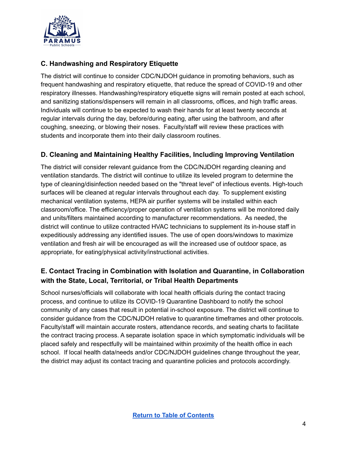

#### <span id="page-4-0"></span>**C. Handwashing and Respiratory Etiquette**

The district will continue to consider CDC/NJDOH guidance in promoting behaviors, such as frequent handwashing and respiratory etiquette, that reduce the spread of COVID-19 and other respiratory illnesses. Handwashing/respiratory etiquette signs will remain posted at each school, and sanitizing stations/dispensers will remain in all classrooms, offices, and high traffic areas. Individuals will continue to be expected to wash their hands for at least twenty seconds at regular intervals during the day, before/during eating, after using the bathroom, and after coughing, sneezing, or blowing their noses. Faculty/staff will review these practices with students and incorporate them into their daily classroom routines.

#### <span id="page-4-1"></span>**D. Cleaning and Maintaining Healthy Facilities, Including Improving Ventilation**

The district will consider relevant guidance from the CDC/NJDOH regarding cleaning and ventilation standards. The district will continue to utilize its leveled program to determine the type of cleaning/disinfection needed based on the "threat level" of infectious events. High-touch surfaces will be cleaned at regular intervals throughout each day. To supplement existing mechanical ventilation systems, HEPA air purifier systems will be installed within each classroom/office. The efficiency/proper operation of ventilation systems will be monitored daily and units/filters maintained according to manufacturer recommendations. As needed, the district will continue to utilize contracted HVAC technicians to supplement its in-house staff in expeditiously addressing any identified issues. The use of open doors/windows to maximize ventilation and fresh air will be encouraged as will the increased use of outdoor space, as appropriate, for eating/physical activity/instructional activities.

#### <span id="page-4-2"></span>**E. Contact Tracing in Combination with Isolation and Quarantine, in Collaboration with the State, Local, Territorial, or Tribal Health Departments**

School nurses/officials will collaborate with local health officials during the contact tracing process, and continue to utilize its COVID-19 Quarantine Dashboard to notify the school community of any cases that result in potential in-school exposure. The district will continue to consider guidance from the CDC/NJDOH relative to quarantine timeframes and other protocols. Faculty/staff will maintain accurate rosters, attendance records, and seating charts to facilitate the contract tracing process. A separate isolation space in which symptomatic individuals will be placed safely and respectfully will be maintained within proximity of the health office in each school. If local health data/needs and/or CDC/NJDOH guidelines change throughout the year, the district may adjust its contact tracing and quarantine policies and protocols accordingly.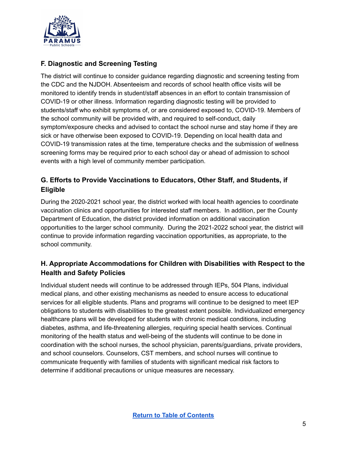

#### <span id="page-5-0"></span>**F. Diagnostic and Screening Testing**

The district will continue to consider guidance regarding diagnostic and screening testing from the CDC and the NJDOH. Absenteeism and records of school health office visits will be monitored to identify trends in student/staff absences in an effort to contain transmission of COVID-19 or other illness. Information regarding diagnostic testing will be provided to students/staff who exhibit symptoms of, or are considered exposed to, COVID-19. Members of the school community will be provided with, and required to self-conduct, daily symptom/exposure checks and advised to contact the school nurse and stay home if they are sick or have otherwise been exposed to COVID-19. Depending on local health data and COVID-19 transmission rates at the time, temperature checks and the submission of wellness screening forms may be required prior to each school day or ahead of admission to school events with a high level of community member participation.

#### <span id="page-5-1"></span>**G. Efforts to Provide Vaccinations to Educators, Other Staff, and Students, if Eligible**

During the 2020-2021 school year, the district worked with local health agencies to coordinate vaccination clinics and opportunities for interested staff members. In addition, per the County Department of Education, the district provided information on additional vaccination opportunities to the larger school community. During the 2021-2022 school year, the district will continue to provide information regarding vaccination opportunities, as appropriate, to the school community.

#### <span id="page-5-2"></span>**H. Appropriate Accommodations for Children with Disabilities with Respect to the Health and Safety Policies**

Individual student needs will continue to be addressed through IEPs, 504 Plans, individual medical plans, and other existing mechanisms as needed to ensure access to educational services for all eligible students. Plans and programs will continue to be designed to meet IEP obligations to students with disabilities to the greatest extent possible. Individualized emergency healthcare plans will be developed for students with chronic medical conditions, including diabetes, asthma, and life-threatening allergies, requiring special health services. Continual monitoring of the health status and well-being of the students will continue to be done in coordination with the school nurses, the school physician, parents/guardians, private providers, and school counselors. Counselors, CST members, and school nurses will continue to communicate frequently with families of students with significant medical risk factors to determine if additional precautions or unique measures are necessary.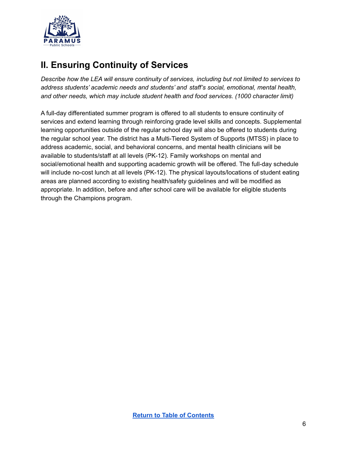

# <span id="page-6-0"></span>**II. Ensuring Continuity of Services**

*Describe how the LEA will ensure continuity of services, including but not limited to services to address students' academic needs and students' and staff's social, emotional, mental health, and other needs, which may include student health and food services. (1000 character limit)*

A full-day differentiated summer program is offered to all students to ensure continuity of services and extend learning through reinforcing grade level skills and concepts. Supplemental learning opportunities outside of the regular school day will also be offered to students during the regular school year. The district has a Multi-Tiered System of Supports (MTSS) in place to address academic, social, and behavioral concerns, and mental health clinicians will be available to students/staff at all levels (PK-12). Family workshops on mental and social/emotional health and supporting academic growth will be offered. The full-day schedule will include no-cost lunch at all levels (PK-12). The physical layouts/locations of student eating areas are planned according to existing health/safety guidelines and will be modified as appropriate. In addition, before and after school care will be available for eligible students through the Champions program.